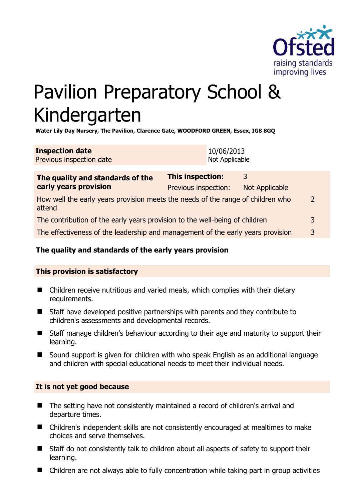

# Pavilion Preparatory School & Kindergarten

**Water Lily Day Nursery, The Pavilion, Clarence Gate, WOODFORD GREEN, Essex, IG8 8GQ** 

| <b>Inspection date</b>          | 10/06/2013     |
|---------------------------------|----------------|
| <b>Previous inspection date</b> | Not Applicable |

| The quality and standards of the<br>early years provision                                 | <b>This inspection:</b> | 3                     |               |
|-------------------------------------------------------------------------------------------|-------------------------|-----------------------|---------------|
|                                                                                           | Previous inspection:    | <b>Not Applicable</b> |               |
| How well the early years provision meets the needs of the range of children who<br>attend |                         |                       | $\mathcal{D}$ |
| The contribution of the early years provision to the well-being of children               |                         |                       | 3             |
| The effectiveness of the leadership and management of the early years provision           |                         |                       | 3             |
|                                                                                           |                         |                       |               |

# **The quality and standards of the early years provision**

# **This provision is satisfactory**

- Children receive nutritious and varied meals, which complies with their dietary requirements.
- Staff have developed positive partnerships with parents and they contribute to children's assessments and developmental records.
- Staff manage children's behaviour according to their age and maturity to support their learning.
- Sound support is given for children with who speak English as an additional language and children with special educational needs to meet their individual needs.

#### **It is not yet good because**

- The setting have not consistently maintained a record of children's arrival and departure times.
- Children's independent skills are not consistently encouraged at mealtimes to make choices and serve themselves.
- Staff do not consistently talk to children about all aspects of safety to support their learning.
- Children are not always able to fully concentration while taking part in group activities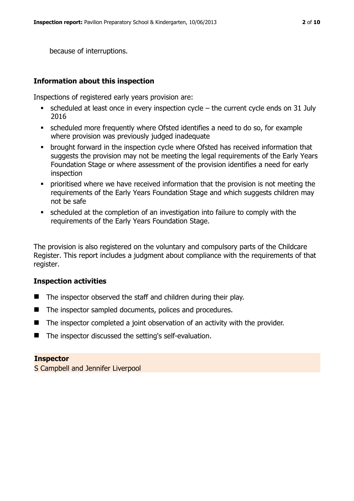because of interruptions.

# **Information about this inspection**

Inspections of registered early years provision are:

- scheduled at least once in every inspection cycle  $-$  the current cycle ends on 31 July 2016
- scheduled more frequently where Ofsted identifies a need to do so, for example where provision was previously judged inadequate
- brought forward in the inspection cycle where Ofsted has received information that suggests the provision may not be meeting the legal requirements of the Early Years Foundation Stage or where assessment of the provision identifies a need for early inspection
- **•** prioritised where we have received information that the provision is not meeting the requirements of the Early Years Foundation Stage and which suggests children may not be safe
- scheduled at the completion of an investigation into failure to comply with the requirements of the Early Years Foundation Stage.

The provision is also registered on the voluntary and compulsory parts of the Childcare Register. This report includes a judgment about compliance with the requirements of that register.

#### **Inspection activities**

- $\blacksquare$  The inspector observed the staff and children during their play.
- The inspector sampled documents, polices and procedures.
- The inspector completed a joint observation of an activity with the provider.
- The inspector discussed the setting's self-evaluation.

#### **Inspector**

S Campbell and Jennifer Liverpool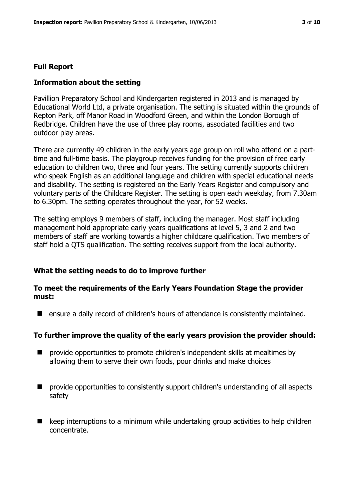# **Full Report**

# **Information about the setting**

Pavillion Preparatory School and Kindergarten registered in 2013 and is managed by Educational World Ltd, a private organisation. The setting is situated within the grounds of Repton Park, off Manor Road in Woodford Green, and within the London Borough of Redbridge. Children have the use of three play rooms, associated facilities and two outdoor play areas.

There are currently 49 children in the early years age group on roll who attend on a parttime and full-time basis. The playgroup receives funding for the provision of free early education to children two, three and four years. The setting currently supports children who speak English as an additional language and children with special educational needs and disability. The setting is registered on the Early Years Register and compulsory and voluntary parts of the Childcare Register. The setting is open each weekday, from 7.30am to 6.30pm. The setting operates throughout the year, for 52 weeks.

The setting employs 9 members of staff, including the manager. Most staff including management hold appropriate early years qualifications at level 5, 3 and 2 and two members of staff are working towards a higher childcare qualification. Two members of staff hold a QTS qualification. The setting receives support from the local authority.

#### **What the setting needs to do to improve further**

# **To meet the requirements of the Early Years Foundation Stage the provider must:**

**E** ensure a daily record of children's hours of attendance is consistently maintained.

#### **To further improve the quality of the early years provision the provider should:**

- $\blacksquare$  provide opportunities to promote children's independent skills at mealtimes by allowing them to serve their own foods, pour drinks and make choices
- provide opportunities to consistently support children's understanding of all aspects safety
- $\blacksquare$  keep interruptions to a minimum while undertaking group activities to help children concentrate.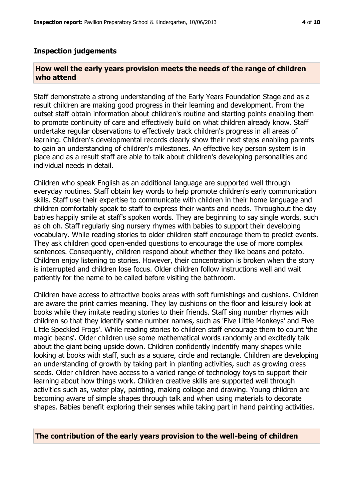#### **Inspection judgements**

#### **How well the early years provision meets the needs of the range of children who attend**

Staff demonstrate a strong understanding of the Early Years Foundation Stage and as a result children are making good progress in their learning and development. From the outset staff obtain information about children's routine and starting points enabling them to promote continuity of care and effectively build on what children already know. Staff undertake regular observations to effectively track children's progress in all areas of learning. Children's developmental records clearly show their next steps enabling parents to gain an understanding of children's milestones. An effective key person system is in place and as a result staff are able to talk about children's developing personalities and individual needs in detail.

Children who speak English as an additional language are supported well through everyday routines. Staff obtain key words to help promote children's early communication skills. Staff use their expertise to communicate with children in their home language and children comfortably speak to staff to express their wants and needs. Throughout the day babies happily smile at staff's spoken words. They are beginning to say single words, such as oh oh. Staff regularly sing nursery rhymes with babies to support their developing vocabulary. While reading stories to older children staff encourage them to predict events. They ask children good open-ended questions to encourage the use of more complex sentences. Consequently, children respond about whether they like beans and potato. Children enjoy listening to stories. However, their concentration is broken when the story is interrupted and children lose focus. Older children follow instructions well and wait patiently for the name to be called before visiting the bathroom.

Children have access to attractive books areas with soft furnishings and cushions. Children are aware the print carries meaning. They lay cushions on the floor and leisurely look at books while they imitate reading stories to their friends. Staff sing number rhymes with children so that they identify some number names, such as 'Five Little Monkeys' and Five Little Speckled Frogs'. While reading stories to children staff encourage them to count 'the magic beans'. Older children use some mathematical words randomly and excitedly talk about the giant being upside down. Children confidently indentify many shapes while looking at books with staff, such as a square, circle and rectangle. Children are developing an understanding of growth by taking part in planting activities, such as growing cress seeds. Older children have access to a varied range of technology toys to support their learning about how things work. Children creative skills are supported well through activities such as, water play, painting, making collage and drawing. Young children are becoming aware of simple shapes through talk and when using materials to decorate shapes. Babies benefit exploring their senses while taking part in hand painting activities.

#### **The contribution of the early years provision to the well-being of children**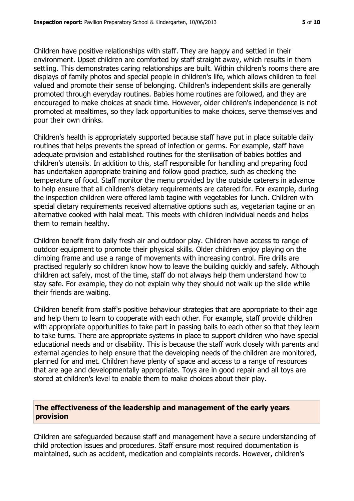Children have positive relationships with staff. They are happy and settled in their environment. Upset children are comforted by staff straight away, which results in them settling. This demonstrates caring relationships are built. Within children's rooms there are displays of family photos and special people in children's life, which allows children to feel valued and promote their sense of belonging. Children's independent skills are generally promoted through everyday routines. Babies home routines are followed, and they are encouraged to make choices at snack time. However, older children's independence is not promoted at mealtimes, so they lack opportunities to make choices, serve themselves and pour their own drinks.

Children's health is appropriately supported because staff have put in place suitable daily routines that helps prevents the spread of infection or germs. For example, staff have adequate provision and established routines for the sterilisation of babies bottles and children's utensils. In addition to this, staff responsible for handling and preparing food has undertaken appropriate training and follow good practice, such as checking the temperature of food. Staff monitor the menu provided by the outside caterers in advance to help ensure that all children's dietary requirements are catered for. For example, during the inspection children were offered lamb tagine with vegetables for lunch. Children with special dietary requirements received alternative options such as, vegetarian tagine or an alternative cooked with halal meat. This meets with children individual needs and helps them to remain healthy.

Children benefit from daily fresh air and outdoor play. Children have access to range of outdoor equipment to promote their physical skills. Older children enjoy playing on the climbing frame and use a range of movements with increasing control. Fire drills are practised regularly so children know how to leave the building quickly and safely. Although children act safely, most of the time, staff do not always help them understand how to stay safe. For example, they do not explain why they should not walk up the slide while their friends are waiting.

Children benefit from staff's positive behaviour strategies that are appropriate to their age and help them to learn to cooperate with each other. For example, staff provide children with appropriate opportunities to take part in passing balls to each other so that they learn to take turns. There are appropriate systems in place to support children who have special educational needs and or disability. This is because the staff work closely with parents and external agencies to help ensure that the developing needs of the children are monitored, planned for and met. Children have plenty of space and access to a range of resources that are age and developmentally appropriate. Toys are in good repair and all toys are stored at children's level to enable them to make choices about their play.

# **The effectiveness of the leadership and management of the early years provision**

Children are safeguarded because staff and management have a secure understanding of child protection issues and procedures. Staff ensure most required documentation is maintained, such as accident, medication and complaints records. However, children's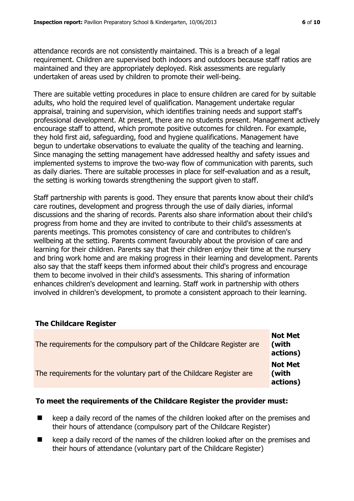attendance records are not consistently maintained. This is a breach of a legal requirement. Children are supervised both indoors and outdoors because staff ratios are maintained and they are appropriately deployed. Risk assessments are regularly undertaken of areas used by children to promote their well-being.

There are suitable vetting procedures in place to ensure children are cared for by suitable adults, who hold the required level of qualification. Management undertake regular appraisal, training and supervision, which identifies training needs and support staff's professional development. At present, there are no students present. Management actively encourage staff to attend, which promote positive outcomes for children. For example, they hold first aid, safeguarding, food and hygiene qualifications. Management have begun to undertake observations to evaluate the quality of the teaching and learning. Since managing the setting management have addressed healthy and safety issues and implemented systems to improve the two-way flow of communication with parents, such as daily diaries. There are suitable processes in place for self-evaluation and as a result, the setting is working towards strengthening the support given to staff.

Staff partnership with parents is good. They ensure that parents know about their child's care routines, development and progress through the use of daily diaries, informal discussions and the sharing of records. Parents also share information about their child's progress from home and they are invited to contribute to their child's assessments at parents meetings. This promotes consistency of care and contributes to children's wellbeing at the setting. Parents comment favourably about the provision of care and learning for their children. Parents say that their children enjoy their time at the nursery and bring work home and are making progress in their learning and development. Parents also say that the staff keeps them informed about their child's progress and encourage them to become involved in their child's assessments. This sharing of information enhances children's development and learning. Staff work in partnership with others involved in children's development, to promote a consistent approach to their learning.

# **The Childcare Register**

| The requirements for the compulsory part of the Childcare Register are | <b>Not Met</b><br>(with<br>actions) |
|------------------------------------------------------------------------|-------------------------------------|
| The requirements for the voluntary part of the Childcare Register are  | <b>Not Met</b><br>(with<br>actions) |

# **To meet the requirements of the Childcare Register the provider must:**

- keep a daily record of the names of the children looked after on the premises and their hours of attendance (compulsory part of the Childcare Register)
- keep a daily record of the names of the children looked after on the premises and their hours of attendance (voluntary part of the Childcare Register)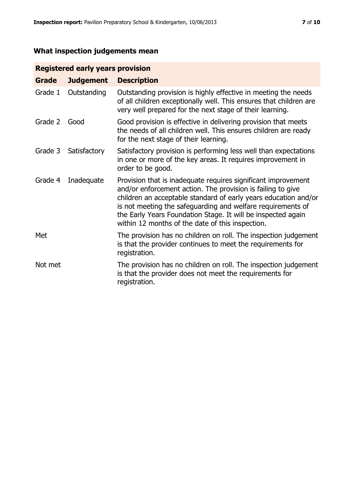# **What inspection judgements mean**

# **Registered early years provision**

| Grade   | <b>Judgement</b> | <b>Description</b>                                                                                                                                                                                                                                                                                                                                                                 |
|---------|------------------|------------------------------------------------------------------------------------------------------------------------------------------------------------------------------------------------------------------------------------------------------------------------------------------------------------------------------------------------------------------------------------|
| Grade 1 | Outstanding      | Outstanding provision is highly effective in meeting the needs<br>of all children exceptionally well. This ensures that children are<br>very well prepared for the next stage of their learning.                                                                                                                                                                                   |
| Grade 2 | Good             | Good provision is effective in delivering provision that meets<br>the needs of all children well. This ensures children are ready<br>for the next stage of their learning.                                                                                                                                                                                                         |
| Grade 3 | Satisfactory     | Satisfactory provision is performing less well than expectations<br>in one or more of the key areas. It requires improvement in<br>order to be good.                                                                                                                                                                                                                               |
| Grade 4 | Inadequate       | Provision that is inadequate requires significant improvement<br>and/or enforcement action. The provision is failing to give<br>children an acceptable standard of early years education and/or<br>is not meeting the safeguarding and welfare requirements of<br>the Early Years Foundation Stage. It will be inspected again<br>within 12 months of the date of this inspection. |
| Met     |                  | The provision has no children on roll. The inspection judgement<br>is that the provider continues to meet the requirements for<br>registration.                                                                                                                                                                                                                                    |
| Not met |                  | The provision has no children on roll. The inspection judgement<br>is that the provider does not meet the requirements for<br>registration.                                                                                                                                                                                                                                        |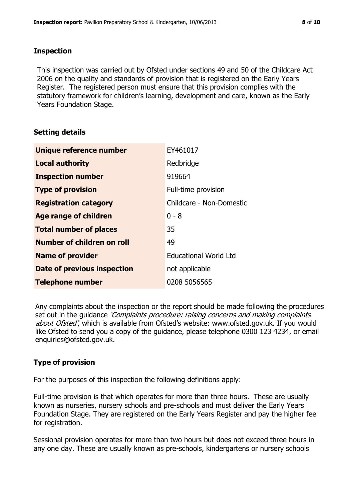# **Inspection**

This inspection was carried out by Ofsted under sections 49 and 50 of the Childcare Act 2006 on the quality and standards of provision that is registered on the Early Years Register. The registered person must ensure that this provision complies with the statutory framework for children's learning, development and care, known as the Early Years Foundation Stage.

# **Setting details**

| Unique reference number            | EY461017                     |
|------------------------------------|------------------------------|
| <b>Local authority</b>             | Redbridge                    |
| <b>Inspection number</b>           | 919664                       |
| <b>Type of provision</b>           | Full-time provision          |
| <b>Registration category</b>       | Childcare - Non-Domestic     |
| <b>Age range of children</b>       | $0 - 8$                      |
| <b>Total number of places</b>      | 35                           |
| Number of children on roll         | 49                           |
| <b>Name of provider</b>            | <b>Educational World Ltd</b> |
| <b>Date of previous inspection</b> | not applicable               |
| <b>Telephone number</b>            | 0208 5056565                 |

Any complaints about the inspection or the report should be made following the procedures set out in the guidance *'Complaints procedure: raising concerns and making complaints* about Ofsted', which is available from Ofsted's website: www.ofsted.gov.uk. If you would like Ofsted to send you a copy of the guidance, please telephone 0300 123 4234, or email enquiries@ofsted.gov.uk.

# **Type of provision**

For the purposes of this inspection the following definitions apply:

Full-time provision is that which operates for more than three hours. These are usually known as nurseries, nursery schools and pre-schools and must deliver the Early Years Foundation Stage. They are registered on the Early Years Register and pay the higher fee for registration.

Sessional provision operates for more than two hours but does not exceed three hours in any one day. These are usually known as pre-schools, kindergartens or nursery schools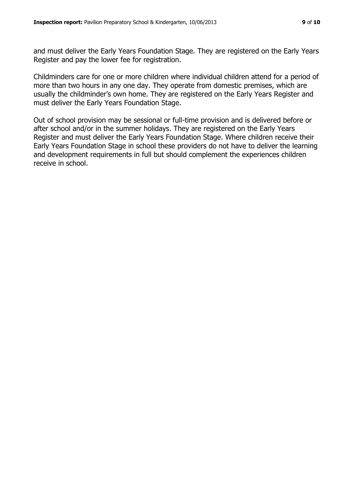and must deliver the Early Years Foundation Stage. They are registered on the Early Years Register and pay the lower fee for registration.

Childminders care for one or more children where individual children attend for a period of more than two hours in any one day. They operate from domestic premises, which are usually the childminder's own home. They are registered on the Early Years Register and must deliver the Early Years Foundation Stage.

Out of school provision may be sessional or full-time provision and is delivered before or after school and/or in the summer holidays. They are registered on the Early Years Register and must deliver the Early Years Foundation Stage. Where children receive their Early Years Foundation Stage in school these providers do not have to deliver the learning and development requirements in full but should complement the experiences children receive in school.